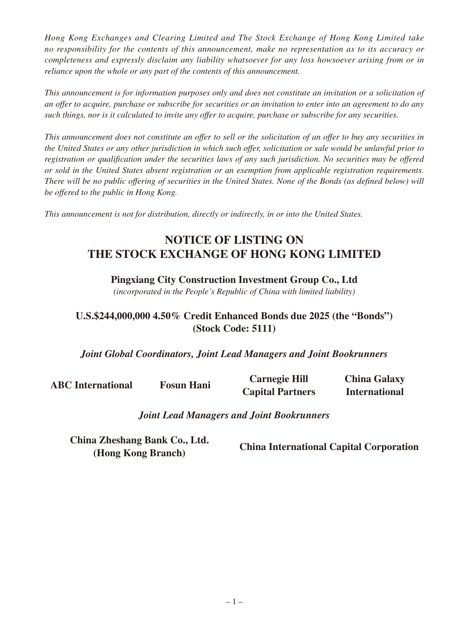*Hong Kong Exchanges and Clearing Limited and The Stock Exchange of Hong Kong Limited take no responsibility for the contents of this announcement, make no representation as to its accuracy or completeness and expressly disclaim any liability whatsoever for any loss howsoever arising from or in reliance upon the whole or any part of the contents of this announcement.*

*This announcement is for information purposes only and does not constitute an invitation or a solicitation of an offer to acquire, purchase or subscribe for securities or an invitation to enter into an agreement to do any such things, nor is it calculated to invite any offer to acquire, purchase or subscribe for any securities.*

*This announcement does not constitute an offer to sell or the solicitation of an offer to buy any securities in the United States or any other jurisdiction in which such offer, solicitation or sale would be unlawful prior to registration or qualification under the securities laws of any such jurisdiction. No securities may be offered or sold in the United States absent registration or an exemption from applicable registration requirements. There will be no public offering of securities in the United States. None of the Bonds (as defined below) will be offered to the public in Hong Kong.*

*This announcement is not for distribution, directly or indirectly, in or into the United States.*

# **NOTICE OF LISTING ON THE STOCK EXCHANGE OF HONG KONG LIMITED**

## **Pingxiang City Construction Investment Group Co., Ltd**

*(incorporated in the People's Republic of China with limited liability)*

# **U.S.\$244,000,000 4.50% Credit Enhanced Bonds due 2025 (the "Bonds") (Stock Code: 5111)**

## *Joint Global Coordinators, Joint Lead Managers and Joint Bookrunners*

**ABC International Fosun Hani Carnegie Hill Capital Partners China Galaxy International**

#### *Joint Lead Managers and Joint Bookrunners*

**China Zheshang Bank Co., Ltd. (Hong Kong Branch) China International Capital Corporation**